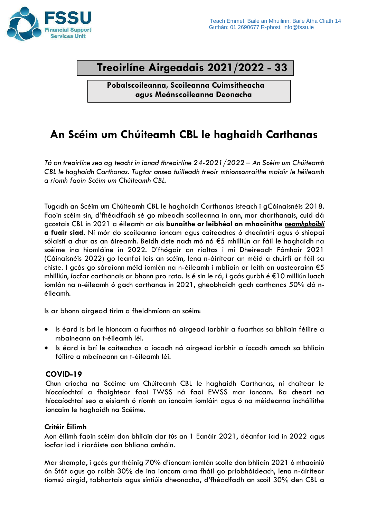

# **Treoirlíne Airgeadais 2021/2022 - 33**

**Pobalscoileanna, Scoileanna Cuimsitheacha agus Meánscoileanna Deonacha**

# **An Scéim um Chúiteamh CBL le haghaidh Carthanas**

*Tá an treoirlíne seo ag teacht in ionad threoirlíne 24-2021/2022 – An Scéim um Chúiteamh CBL le haghaidh Carthanas. Tugtar anseo tuilleadh treoir mhionsonraithe maidir le héileamh a ríomh faoin Scéim um Chúiteamh CBL.*

Tugadh an Scéim um Chúiteamh CBL le haghaidh Carthanas isteach i gCáinaisnéis 2018. Faoin scéim sin, d'fhéadfadh sé go mbeadh scoileanna in ann, mar charthanais, cuid dá gcostais CBL in 2021 a éileamh ar ais **bunaithe ar leibhéal an mhaoinithe** *neamhphoiblí* **a fuair siad**. Ní mór do scoileanna ioncam agus caiteachas ó cheaintíní agus ó shiopaí sólaistí a chur as an áireamh. Beidh ciste nach mó ná €5 mhilliún ar fáil le haghaidh na scéime ina hiomláine in 2022. D'fhógair an rialtas i mí Dheireadh Fómhair 2021 (Cáinaisnéis 2022) go leanfaí leis an scéim, lena n-áirítear an méid a chuirfí ar fáil sa chiste. I gcás go sáraíonn méid iomlán na n-éileamh i mbliain ar leith an uasteorainn €5 mhilliún, íocfar carthanais ar bhonn pro rata. Is é sin le rá, i gcás gurbh é €10 milliún luach iomlán na n-éileamh ó gach carthanas in 2021, gheobhaidh gach carthanas 50% dá néileamh.

Is ar bhonn airgead tirim a fheidhmíonn an scéim:

- Is éard is brí le hioncam a fuarthas ná airgead iarbhír a fuarthas sa bhliain féilire a mbaineann an t-éileamh léi.
- Is éard is brí le caiteachas a íocadh ná airgead iarbhír a íocadh amach sa bhliain féilire a mbaineann an t-éileamh léi.

### **COVID-19**

Chun críocha na Scéime um Chúiteamh CBL le haghaidh Carthanas, ní chaitear le híocaíochtaí a fhaightear faoi TWSS ná faoi EWSS mar ioncam. Ba cheart na híocaíochtaí seo a eisiamh ó ríomh an ioncaim iomláin agus ó na méideanna incháilithe ioncaim le haghaidh na Scéime.

### **Critéir Éilimh**

Aon éilimh faoin scéim don bhliain dar tús an 1 Eanáir 2021, déanfar iad in 2022 agus íocfar iad i riaráiste aon bhliana amháin.

Mar shampla, i gcás gur tháinig 70% d'ioncam iomlán scoile don bhliain 2021 ó mhaoiniú ón Stát agus go raibh 30% de ina ioncam arna fháil go príobháideach, lena n-áirítear tiomsú airgid, tabhartais agus síntiúis dheonacha, d'fhéadfadh an scoil 30% den CBL a